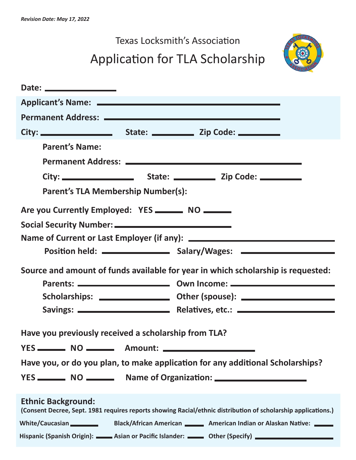## Texas Locksmith's Association Application for TLA Scholarship



| <b>Parent's Name:</b>                                                                                                                      |  |  |  |  |
|--------------------------------------------------------------------------------------------------------------------------------------------|--|--|--|--|
|                                                                                                                                            |  |  |  |  |
|                                                                                                                                            |  |  |  |  |
| <b>Parent's TLA Membership Number(s):</b>                                                                                                  |  |  |  |  |
| Are you Currently Employed: YES ________ NO ______                                                                                         |  |  |  |  |
|                                                                                                                                            |  |  |  |  |
|                                                                                                                                            |  |  |  |  |
|                                                                                                                                            |  |  |  |  |
| Source and amount of funds available for year in which scholarship is requested:                                                           |  |  |  |  |
|                                                                                                                                            |  |  |  |  |
|                                                                                                                                            |  |  |  |  |
|                                                                                                                                            |  |  |  |  |
| Have you previously received a scholarship from TLA?                                                                                       |  |  |  |  |
|                                                                                                                                            |  |  |  |  |
|                                                                                                                                            |  |  |  |  |
| Have you, or do you plan, to make application for any additional Scholarships?                                                             |  |  |  |  |
|                                                                                                                                            |  |  |  |  |
| <b>Ethnic Background:</b><br>(Consent Decree, Sept. 1981 requires reports showing Racial/ethnic distribution of scholarship applications.) |  |  |  |  |
| White/Caucasian Black/African American Merican indian or Alaskan Native:                                                                   |  |  |  |  |
| Hispanic (Spanish Origin): Asian or Pacific Islander: <b>Common Pacific Islander</b> Other (Specify)                                       |  |  |  |  |